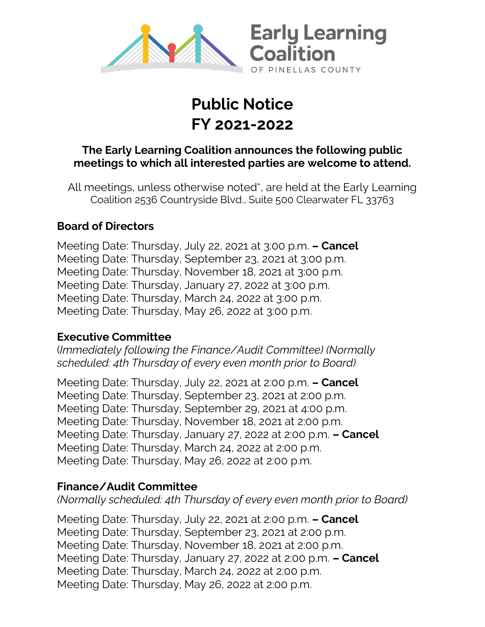

# **Public Notice FY 2021-2022**

# **The Early Learning Coalition announces the following public meetings to which all interested parties are welcome to attend.**

All meetings, unless otherwise noted\*, are held at the Early Learning Coalition 2536 Countryside Blvd., Suite 500 Clearwater FL 33763

# **Board of Directors**

Meeting Date: Thursday, July 22, 2021 at 3:00 p.m. **– Cancel** Meeting Date: Thursday, September 23, 2021 at 3:00 p.m. Meeting Date: Thursday, November 18, 2021 at 3:00 p.m. Meeting Date: Thursday, January 27, 2022 at 3:00 p.m. Meeting Date: Thursday, March 24, 2022 at 3:00 p.m. Meeting Date: Thursday, May 26, 2022 at 3:00 p.m.

## **Executive Committee**

(*Immediately following the Finance/Audit Committee) (Normally scheduled: 4th Thursday of every even month prior to Board)* 

Meeting Date: Thursday, July 22, 2021 at 2:00 p.m. **– Cancel** Meeting Date: Thursday, September 23, 2021 at 2:00 p.m. Meeting Date: Thursday, September 29, 2021 at 4:00 p.m. Meeting Date: Thursday, November 18, 2021 at 2:00 p.m. Meeting Date: Thursday, January 27, 2022 at 2:00 p.m. **– Cancel** Meeting Date: Thursday, March 24, 2022 at 2:00 p.m. Meeting Date: Thursday, May 26, 2022 at 2:00 p.m.

# **Finance/Audit Committee**

*(Normally scheduled: 4th Thursday of every even month prior to Board)* 

Meeting Date: Thursday, July 22, 2021 at 2:00 p.m. **– Cancel** Meeting Date: Thursday, September 23, 2021 at 2:00 p.m. Meeting Date: Thursday, November 18, 2021 at 2:00 p.m. Meeting Date: Thursday, January 27, 2022 at 2:00 p.m. **– Cancel** Meeting Date: Thursday, March 24, 2022 at 2:00 p.m. Meeting Date: Thursday, May 26, 2022 at 2:00 p.m.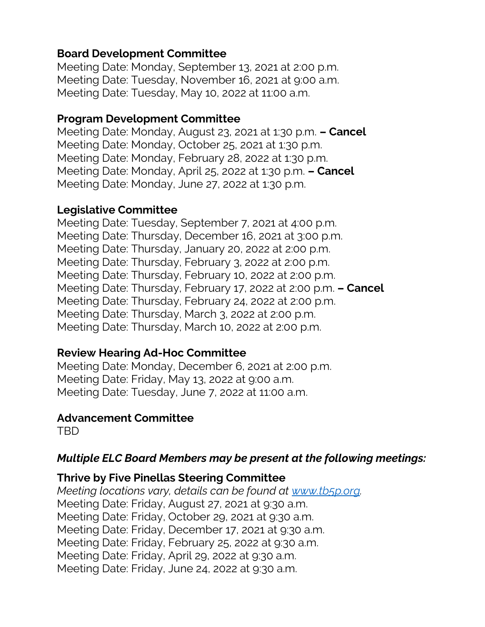## **Board Development Committee**

Meeting Date: Monday, September 13, 2021 at 2:00 p.m. Meeting Date: Tuesday, November 16, 2021 at 9:00 a.m. Meeting Date: Tuesday, May 10, 2022 at 11:00 a.m.

## **Program Development Committee**

Meeting Date: Monday, August 23, 2021 at 1:30 p.m. **– Cancel** Meeting Date: Monday, October 25, 2021 at 1:30 p.m. Meeting Date: Monday, February 28, 2022 at 1:30 p.m. Meeting Date: Monday, April 25, 2022 at 1:30 p.m. **– Cancel** Meeting Date: Monday, June 27, 2022 at 1:30 p.m.

#### **Legislative Committee**

Meeting Date: Tuesday, September 7, 2021 at 4:00 p.m. Meeting Date: Thursday, December 16, 2021 at 3:00 p.m. Meeting Date: Thursday, January 20, 2022 at 2:00 p.m. Meeting Date: Thursday, February 3, 2022 at 2:00 p.m. Meeting Date: Thursday, February 10, 2022 at 2:00 p.m. Meeting Date: Thursday, February 17, 2022 at 2:00 p.m. **– Cancel** Meeting Date: Thursday, February 24, 2022 at 2:00 p.m. Meeting Date: Thursday, March 3, 2022 at 2:00 p.m. Meeting Date: Thursday, March 10, 2022 at 2:00 p.m.

## **Review Hearing Ad-Hoc Committee**

Meeting Date: Monday, December 6, 2021 at 2:00 p.m. Meeting Date: Friday, May 13, 2022 at 9:00 a.m. Meeting Date: Tuesday, June 7, 2022 at 11:00 a.m.

## **Advancement Committee**

TBD

# *Multiple ELC Board Members may be present at the following meetings:*

## **Thrive by Five Pinellas Steering Committee**

*Meeting locations vary, details can be found at [www.tb5p.org.](http://www.tb5p.org/)* Meeting Date: Friday, August 27, 2021 at 9:30 a.m. Meeting Date: Friday, October 29, 2021 at 9:30 a.m. Meeting Date: Friday, December 17, 2021 at 9:30 a.m. Meeting Date: Friday, February 25, 2022 at 9:30 a.m. Meeting Date: Friday, April 29, 2022 at 9:30 a.m. Meeting Date: Friday, June 24, 2022 at 9:30 a.m.